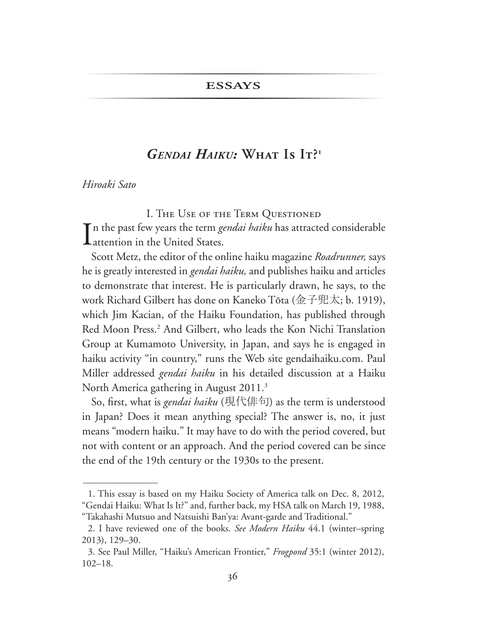## **ESSAYS**

## GENDAL HAIKU: WHAT IS  $[\Gamma]^{\mathfrak{u}}$

Hiroaki Sato

I. THE USE OF THE TERM QUESTIONED

T n the past few years the term *gendai haiku* has attracted considerable Lattention in the United States.

Scott Metz, the editor of the online haiku magazine *Roadrunner*, says he is greatly interested in *gendai haiku*, and publishes haiku and articles to demonstrate that interest. He is particularly drawn, he says, to the work Richard Gilbert has done on Kaneko Tōta (金子兜太; b. 1919), which Jim Kacian, of the Haiku Foundation, has published through Red Moon Press.<sup>2</sup> And Gilbert, who leads the Kon Nichi Translation Group at Kumamoto University, in Japan, and says he is engaged in haiku activity "in country," runs the Web site gendaihaiku.com. Paul Miller addressed gendai haiku in his detailed discussion at a Haiku North America gathering in August 2011.<sup>3</sup>

So, first, what is *gendai haiku* (現代俳句) as the term is understood in Japan? Does it mean anything special? The answer is, no, it just means "modern haiku." It may have to do with the period covered, but not with content or an approach. And the period covered can be since the end of the 19th century or the 1930s to the present.

<sup>1.</sup> This essay is based on my Haiku Society of America talk on Dec. 8, 2012, "Gendai Haiku: What Is It?" and, further back, my HSA talk on March 19, 1988, "Takahashi Mutsuo and Natsuishi Ban'ya: Avant-garde and Traditional."

<sup>2.</sup> I have reviewed one of the books. See Modern Haiku 44.1 (winter-spring 2013), 129-30.

<sup>3.</sup> See Paul Miller, "Haiku's American Frontier," Frogpond 35:1 (winter 2012),  $102 - 18.$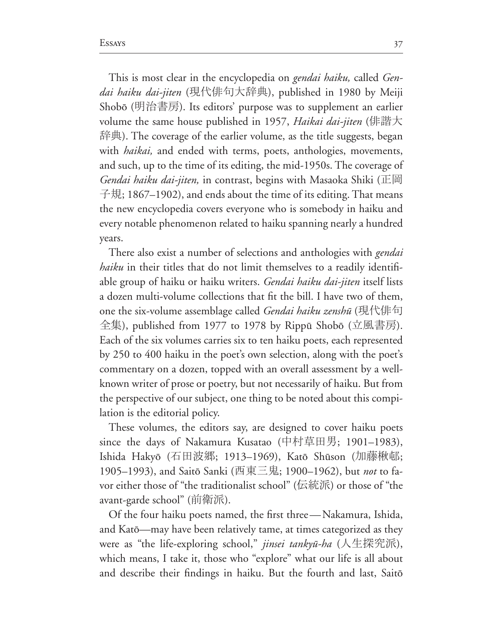This is most clear in the encyclopedia on *gendai haiku,* called *Gen*dai haiku dai-jiten (現代俳句大辞典), published in 1980 by Meiji Shobō (明治書房). Its editors' purpose was to supplement an earlier volume the same house published in 1957, *Haikai dai-jiten* (俳諧大 辞典). The coverage of the earlier volume, as the title suggests, began with *haikai,* and ended with terms, poets, anthologies, movements, and such, up to the time of its editing, the mid-1950s. The coverage of Gendai haiku dai-jiten, in contrast, begins with Masaoka Shiki (正岡  $\pm$ 規; 1867–1902), and ends about the time of its editing. That means the new encyclopedia covers everyone who is somebody in haiku and every notable phenomenon related to haiku spanning nearly a hundred years.

There also exist a number of selections and anthologies with *gendai haiku* in their titles that do not limit themselves to a readily identifiable group of haiku or haiku writers. *Gendai haiku dai-jiten* itself lists a dozen multi-volume collections that fit the bill. I have two of them, one the six-volume assemblage called *Gendai haiku zenshū* (現代俳句  $\hat{\pm}$ 集), published from 1977 to 1978 by Rippū Shobō (立風書房). Each of the six volumes carries six to ten haiku poets, each represented by 250 to 400 haiku in the poet's own selection, along with the poet's commentary on a dozen, topped with an overall assessment by a wellknown writer of prose or poetry, but not necessarily of haiku. But from the perspective of our subject, one thing to be noted about this compi lation is the editorial policy.

These volumes, the editors say, are designed to cover haiku poets since the days of Nakamura Kusatao (中村草田男; 1901-1983), Ishida Hakyō (石田波郷; 1913–1969), Katō Shūson (加藤楸邨; 1905–1993), and Saitō Sanki (西東三鬼; 1900–1962), but not to favor either those of "the traditionalist school" (伝統派) or those of "the avant-garde school" (前衛派).

Of the four haiku poets named, the first three—Nakamura, Ishida, and Katô—may have been relatively tame, at times categorized as they were as "the life-exploring school," *jinsei tankyū-ha* (人生探究派), which means, I take it, those who "explore" what our life is all about and describe their findings in haiku. But the fourth and last, Saitō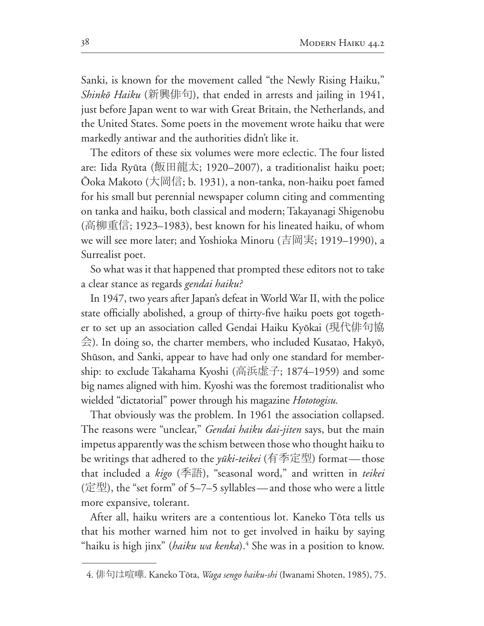Sanki, is known for the movement called "the Newly Rising Haiku," *Shinkō Haiku* (新興俳句), that ended in arrests and jailing in 1941, just before Japan went to war with Great Britain, the Netherlands, and the United States. Some poets in the movement wrote haiku that were markedly antiwar and the authorities didn't like it.

The editors of these six volumes were more eclectic. The four listed are: Iida Ryūta (飯田龍太; 1920-2007), a traditionalist haiku poet; Ōoka Makoto (大岡信; b. 1931), a non-tanka, non-haiku poet famed for his small but perennial newspaper column citing and commenting on tanka and haiku, both classical and modern; Takayanagi Shigenobu (高柳重信; 1923–1983), best known for his lineated haiku, of whom we will see more later; and Yoshioka Minoru (吉岡実; 1919–1990), a Surrealist poet.

So what was it that happened that prompted these editors not to take a clear stance as regards gendai haiku?

In 1947, two years after Japan's defeat in World War II, with the police state officially abolished, a group of thirty-five haiku poets got together to set up an association called Gendai Haiku Kyōkai (現代俳句協  $\hat{\Xi}$ ). In doing so, the charter members, who included Kusatao, Hakyō, Shūson, and Sanki, appear to have had only one standard for membership: to exclude Takahama Kyoshi (高浜虚子; 1874–1959) and some big names aligned with him. Kyoshi was the foremost traditionalist who wielded "dictatorial" power through his magazine Hototogisu.

That obviously was the problem. In 1961 the association collapsed. The reasons were "unclear," *Gendai haiku dai-jiten* says, but the main impetus apparently was the schism between those who thought haiku to be writings that adhered to the *yūki-teikei* (有季定型) format—those that included a kigo (季語), "seasonal word," and written in teikei (定型), the "set form" of 5-7-5 syllables — and those who were a little more expansive, tolerant.

After all, haiku writers are a contentious lot. Kaneko Tōta tells us that his mother warned him not to get involved in haiku by saying "haiku is high jinx" (*haiku wa kenka*).<sup>4</sup> She was in a position to know.

<sup>4.</sup> 俳句は喧嘩. Kaneko Tōta, *Waga sengo haiku-shi* (Iwanami Shoten, 1985), 75.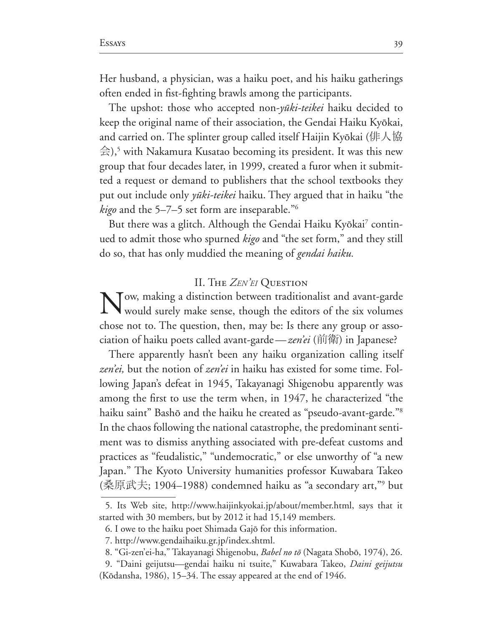The upshot: those who accepted non-*yūki-teikei* haiku decided to keep the original name of their association, the Gendai Haiku Kyōkai, and carried on. The splinter group called itself Haijin Kyōkai (俳人協  $\hat{\triangle}$ ),<sup>5</sup> with Nakamura Kusatao becoming its president. It was this new group that four decades later, in 1999, created a furor when it submitted a request or demand to publishers that the school textbooks they put out include only *yūki-teikei* haiku. They argued that in haiku "the kigo and the 5-7-5 set form are inseparable."<sup>6</sup>

But there was a glitch. Although the Gendai Haiku Kyōkai<sup>7</sup> continued to admit those who spurned kigo and "the set form," and they still do so, that has only muddied the meaning of gendai haiku.

## **II.** THE ZEN'EI QUESTION

Now, making a distinction between traditionalist and avant-garde would surely make sense, though the editors of the six volumes chose not to. The question, then, may be: Is there any group or association of haiku poets called avant-garde—*zen'ei* (前衛) in Japanese?

There apparently hasn't been any haiku organization calling itself zen'ei, but the notion of zen'ei in haiku has existed for some time. Following Japan's defeat in 1945, Takayanagi Shigenobu apparently was among the first to use the term when, in 1947, he characterized "the haiku saint" Bashō and the haiku he created as "pseudo-avant-garde."<sup>8</sup> In the chaos following the national catastrophe, the predominant sentiment was to dismiss anything associated with pre-defeat customs and practices as "feudalistic," "undemocratic," or else unworthy of "a new Japan." The Kyoto University humanities professor Kuwabara Takeo (桑原武夫; 1904–1988) condemned haiku as "a secondary art,"<sup>9</sup> but

<sup>5.</sup> Its Web site, http://www.haijinkyokai.jp/about/member.html, says that it started with 30 members, but by 2012 it had 15,149 members.

<sup>6.</sup> I owe to the haiku poet Shimada Gajō for this information.

<sup>7.</sup> http://www.gendaihaiku.gr.jp/index.shtml.

<sup>8. &</sup>quot;Gi-zen'ei-ha," Takayanagi Shigenobu, Babel no tō (Nagata Shobō, 1974), 26.

<sup>9. &</sup>quot;Daini geijutsu—gendai haiku ni tsuite," Kuwabara Takeo, *Daini geijutsu* (Kōdansha, 1986), 15–34. The essay appeared at the end of 1946.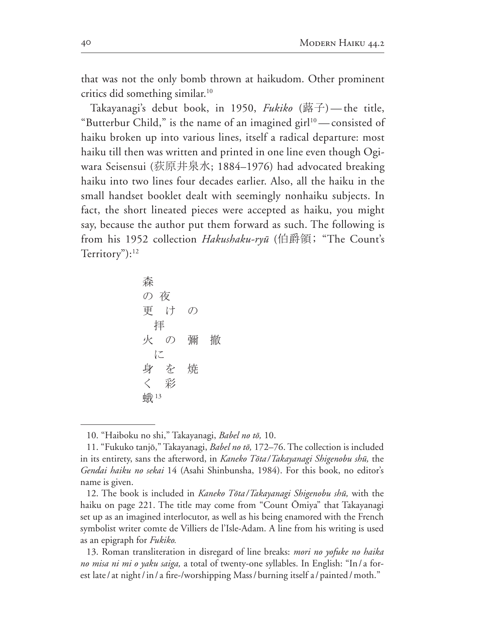that was not the only bomb thrown at haikudom. Other prominent critics did something similar.<sup>10</sup>

Takayanagi's debut book, in 1950, *Fukiko* (蕗子)—the title, "Butterbur Child," is the name of an imagined girl<sup>10</sup> — consisted of haiku broken up into various lines, itself a radical departure: most haiku till then was written and printed in one line even though Ogiwara Seisensui (荻原井泉水; 1884-1976) had advocated breaking haiku into two lines four decades earlier. Also, all the haiku in the small handset booklet dealt with seemingly nonhaiku subjects. In fact, the short lineated pieces were accepted as haiku, you might say, because the author put them forward as such. The following is from his 1952 collection *Hakushaku-ryū* (伯爵領; "The Count's Territory"): $12$ 

<sup>10. &</sup>quot;Haiboku no shi," Takayanagi, Babel no tō, 10.

<sup>11. &</sup>quot;Fukuko tanjō," Takayanagi, *Babel no tō*, 172–76. The collection is included in its entirety, sans the afterword, in *Kaneko Tōta* / Takayanagi Shigenobu shū, the Gendai haiku no sekai 14 (Asahi Shinbunsha, 1984). For this book, no editor's name is given.

<sup>12.</sup> The book is included in *Kaneko Tōta/Takayanagi Shigenobu shū*, with the haiku on page 221. The title may come from "Count Ōmiya" that Takayanagi set up as an imagined interlocutor, as well as his being enamored with the French symbolist writer comte de Villiers de l'Isle-Adam. A line from his writing is used as an epigraph for *Fukiko*.

<sup>13.</sup> Roman transliteration in disregard of line breaks: *mori no yofuke no haika no misa ni mi o yaku saiga,* a total of twenty-one syllables. In English: "In / a forest late/at night/in/a fire-/worshipping Mass/burning itself a/painted/moth."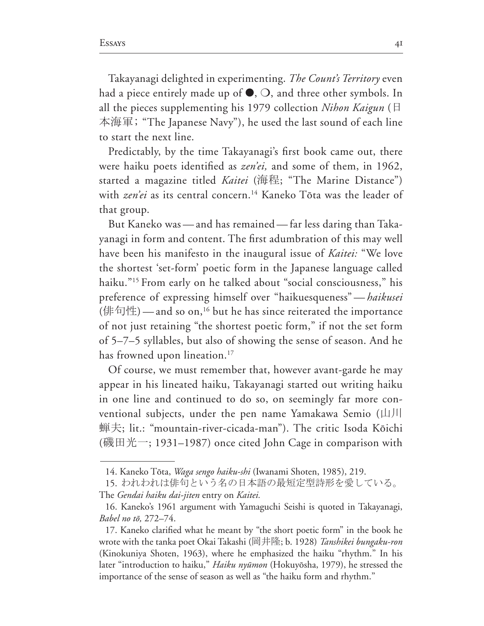Takayanagi delighted in experimenting. *The Count's Territory* even had a piece entirely made up of  $\bullet$ ,  $\circ$ , and three other symbols. In all the pieces supplementing his 1979 collection *Nihon Kaigun* ( $\boxplus$ 本海軍; "The Japanese Navy"), he used the last sound of each line to start the next line.

Predictably, by the time Takayanagi's first book came out, there were haiku poets identified as *zen'ei*, and some of them, in 1962, started a magazine titled *Kaitei* (海程; "The Marine Distance") with *zen'ei* as its central concern.<sup>14</sup> Kaneko Tōta was the leader of that group.

But Kaneko was — and has remained — far less daring than Takayanagi in form and content. The first adumbration of this may well have been his manifesto in the inaugural issue of *Kaitei:* "We love the shortest 'set-form' poetic form in the Japanese language called haiku."<sup>15</sup> From early on he talked about "social consciousness," his preference of expressing himself over "haikuesqueness" —*haikusei* (俳句性) — and so on,<sup>16</sup> but he has since reiterated the importance of not just retaining "the shortest poetic form," if not the set form of 5-7-5 syllables, but also of showing the sense of season. And he has frowned upon lineation.<sup>17</sup>

Of course, we must remember that, however avant-garde he may appear in his lineated haiku, Takayanagi started out writing haiku in one line and continued to do so, on seemingly far more con ventional subjects, under the pen name Yamakawa Semio  $(\perp\!\!\!\perp\!\!\!\!\perp\!\!\!\!\perp\!\!\!\!\perp\!\!\!\!\perp\!\!\!\!\perp\!\!\!\!\perp\!\!\!\!\perp\!\!\!\!\perp\!\!\!\!\perp\!\!\!\!\perp\!\!\!\!\perp\!\!\!\!\perp\!\!\!\!\perp\!\!\!\!\perp\!\!\!\!\perp\!\!\!\!\perp\!\!\!\!\perp\!\!\!\!\perp\!\!\!\!\perp\!\!\!\!\perp\!\!\!\!\perp\!\!\!\!\perp\!\!\$ 蝉夫; lit.: "mountain-river-cicada-man"). The critic Isoda Kōichi (磯田光一; 1931–1987) once cited John Cage in comparison with

<sup>14.</sup> Kaneko Tōta, *Waga sengo haiku-shi* (Iwanami Shoten, 1985), 219.

<sup>15.</sup> われわれは俳句という名の日本語の最短定型詩形を愛している。 The *Gendai haiku dai-jiten* entry on *Kaitei.*

<sup>16.</sup> Kaneko's 1961 argument with Yamaguchi Seishi is quoted in Takayanagi, *Babel no tō*, 272–74.

<sup>17.</sup> Kaneko clarified what he meant by "the short poetic form" in the book he wrote with the tanka poet Okai Takashi (岡井隆; b. 1928) *Tanshikei bungaku-ron* (Kinokuniya Shoten, 1963), where he emphasized the haiku "rhythm." In his later "introduction to haiku," *Haiku nyūmon* (Hokuyōsha, 1979), he stressed the importance of the sense of season as well as "the haiku form and rhythm."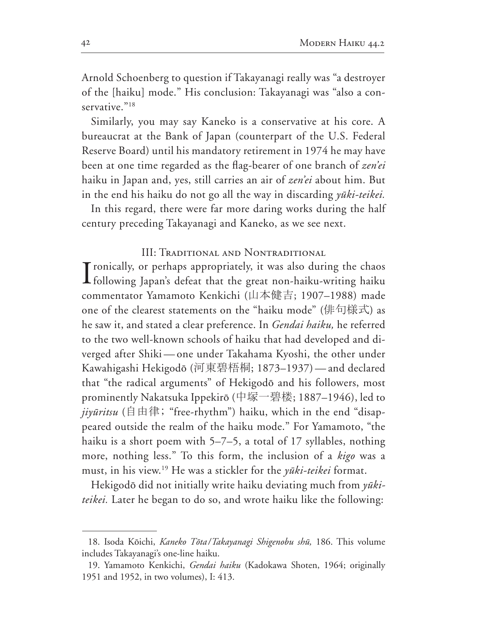Arnold Schoenberg to question if Takayanagi really was "a destroyer of the [haiku] mode." His conclusion: Takayanagi was "also a conservative. $^{918}$ 

Similarly, you may say Kaneko is a conservative at his core. A bureaucrat at the Bank of Japan (counterpart of the U.S. Federal Reserve Board) until his mandatory retirement in 1974 he may have been at one time regarded as the flag-bearer of one branch of zen'ei haiku in Japan and, yes, still carries an air of *zen'ei* about him. But in the end his haiku do not go all the way in discarding *yūki-teikei*.

In this regard, there were far more daring works during the half century preceding Takayanagi and Kaneko, as we see next.

**III: TRADITIONAL AND NONTRADITIONAL** 

Tronically, or perhaps appropriately, it was also during the chaos If ollowing Japan's defeat that the great non-haiku-writing haiku commentator Yamamoto Kenkichi (山本健吉; 1907-1988) made one of the clearest statements on the "haiku mode" (俳句様式) as he saw it, and stated a clear preference. In Gendai haiku, he referred to the two well-known schools of haiku that had developed and diverged after Shiki — one under Takahama Kyoshi, the other under Kawahigashi Hekigodō (河東碧梧桐; 1873–1937) — and declared that "the radical arguments" of Hekigodō and his followers, most prominently Nakatsuka Ippekirō (中塚一碧楼; 1887-1946), led to *jiyūritsu* ( $\dot{\mathbf{\beta}}$   $\dot{\mathbf{\beta}}$   $\dot{\mathbf{\beta}}$   $\ddot{\mathbf{\beta}}$   $\ddot{\mathbf{\beta}}$   $\ddot{\mathbf{\beta}}$   $\ddot{\mathbf{\beta}}$   $\ddot{\mathbf{\beta}}$   $\ddot{\mathbf{\beta}}$   $\ddot{\mathbf{\beta}}$   $\ddot{\mathbf{\beta}}$   $\ddot{\mathbf{\beta}}$   $\ddot{\mathbf{\beta}}$   $\ddot{\mathbf{\beta}}$   $\ddot{\mathbf{\beta}}$   $\ddot{\mathbf{\beta}}$   $\ddot{\mathbf{\beta}}$   $\ddot{\mathbf$ peared outside the realm of the haiku mode." For Yamamoto, "the haiku is a short poem with  $5-7-5$ , a total of 17 syllables, nothing more, nothing less." To this form, the inclusion of a kigo was a must, in his view.<sup>19</sup> He was a stickler for the *yūki-teikei* format.

Hekigodō did not initially write haiku deviating much from yūkiteikei. Later he began to do so, and wrote haiku like the following:

<sup>18.</sup> Isoda Kōichi, Kaneko Tōta/Takayanagi Shigenobu shū, 186. This volume includes Takayanagi's one-line haiku.

<sup>19.</sup> Yamamoto Kenkichi, Gendai haiku (Kadokawa Shoten, 1964; originally 1951 and 1952, in two volumes), I: 413.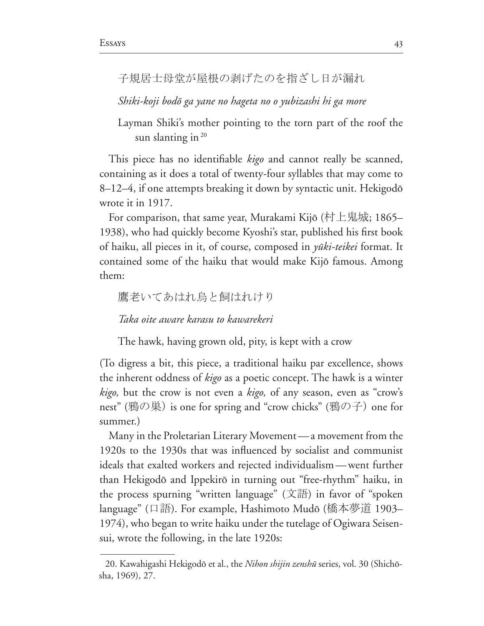子規居士母堂が屋根の剥げたのを指ざし日が漏れ

Shiki-koji bodō ga yane no hageta no o yubizashi hi ga more

Layman Shiki's mother pointing to the torn part of the roof the sun slanting in  $20$ 

This piece has no identifiable *kigo* and cannot really be scanned, containing as it does a total of twenty-four syllables that may come to 8–12–4, if one attempts breaking it down by syntactic unit. Hekigodō wrote it in 1917.

For comparison, that same year, Murakami Kijō (村上鬼城; 1865– 1938), who had quickly become Kyoshi's star, published his first book of haiku, all pieces in it, of course, composed in *yūki-teikei* format. It contained some of the haiku that would make Kijō famous. Among them:

鷹老いてあはれ鳥と飼はれけり

Taka oite aware karasu to kawarekeri

The hawk, having grown old, pity, is kept with a crow

(To digress a bit, this piece, a traditional haiku par excellence, shows the inherent oddness of *kigo* as a poetic concept. The hawk is a winter kigo, but the crow is not even a kigo, of any season, even as "crow's nest" (鴉の巣) is one for spring and "crow chicks" (鴉の子) one for summer.)

Many in the Proletarian Literary Movement — a movement from the 1920s to the 1930s that was influenced by socialist and communist ideals that exalted workers and rejected individualism — went further than Hekigodō and Ippekirō in turning out "free-rhythm" haiku, in the process spurning "written language" (文語) in favor of "spoken language" (口語). For example, Hashimoto Mudō (橋本夢道 1903– 1974), who began to write haiku under the tutelage of Ogiwara Seisensui, wrote the following, in the late 1920s:

<sup>20.</sup> Kawahigashi Hekigodō et al., the *Nihon shijin zenshū* series, vol. 30 (Shichōsha, 1969), 27.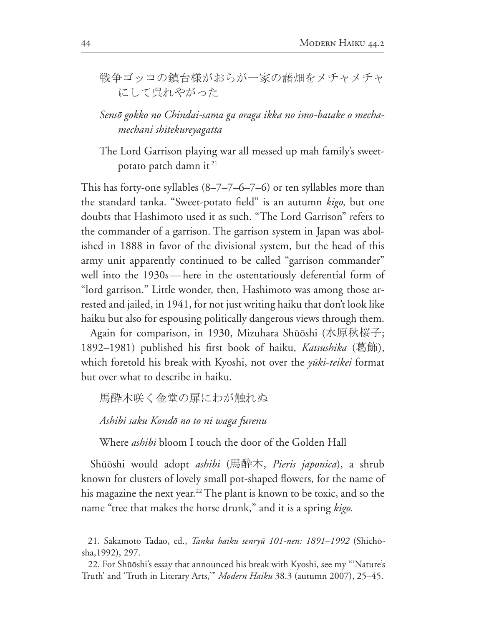戦争ゴッコの鎮台様がおらが一家の藷畑をメチャメチャ にして呉れやがった

Sensō gokko no Chindai-sama ga oraga ikka no imo-batake o mechamechani shitekureyagatta

The Lord Garrison playing war all messed up mah family's sweetpotato patch damn it<sup>21</sup>

This has forty-one syllables  $(8-7-7-6-7-6)$  or ten syllables more than the standard tanka. "Sweet-potato field" is an autumn kigo, but one doubts that Hashimoto used it as such. "The Lord Garrison" refers to the commander of a garrison. The garrison system in Japan was abolished in 1888 in favor of the divisional system, but the head of this army unit apparently continued to be called "garrison commander" well into the 1930s—here in the ostentatiously deferential form of "lord garrison." Little wonder, then, Hashimoto was among those arrested and jailed, in 1941, for not just writing haiku that don't look like haiku but also for espousing politically dangerous views through them.

Again for comparison, in 1930, Mizuhara Shūōshi (水原秋桜子; 1892–1981) published his first book of haiku, *Katsushika* (葛飾), which foretold his break with Kyoshi, not over the *yūki-teikei* format but over what to describe in haiku.

馬酔木咲く金堂の扉にわが触れぬ

Ashibi saku Kondō no to ni waga furenu

Where *ashibi* bloom I touch the door of the Golden Hall

Shūōshi would adopt *ashibi* (馬酔木, *Pieris japonica*), a shrub known for clusters of lovely small pot-shaped flowers, for the name of his magazine the next year.<sup>22</sup> The plant is known to be toxic, and so the name "tree that makes the horse drunk," and it is a spring kigo.

<sup>21.</sup> Sakamoto Tadao, ed., Tanka haiku senryū 101-nen: 1891–1992 (Shichōsha, 1992), 297.

<sup>22.</sup> For Shūōshi's essay that announced his break with Kyoshi, see my "'Nature's Truth' and 'Truth in Literary Arts," Modern Haiku 38.3 (autumn 2007), 25-45.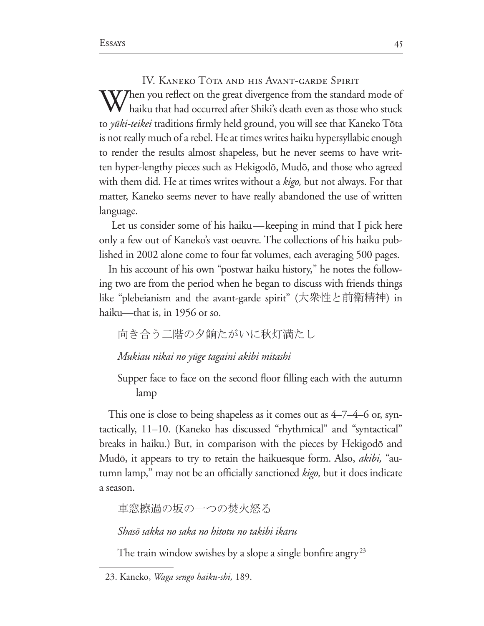IV. KANEKO TŌTA AND HIS AVANT-GARDE SPIRIT  $\sum_{k=1}^{\infty}$  Then you reflect on the great divergence from the standard mode of haiku that had occurred after Shiki's death even as those who stuck to *yūki-teikei* traditions firmly held ground, you will see that Kaneko Tōta is not really much of a rebel. He at times writes haiku hypersyllabic enough to render the results almost shapeless, but he never seems to have written hyper-lengthy pieces such as Hekigodō, Mudō, and those who agreed with them did. He at times writes without a *kigo*, but not always. For that matter, Kaneko seems never to have really abandoned the use of written language.

Let us consider some of his haiku—keeping in mind that I pick here only a few out of Kaneko's vast oeuvre. The collections of his haiku published in 2002 alone come to four fat volumes, each averaging 500 pages.

In his account of his own "postwar haiku history," he notes the following two are from the period when he began to discuss with friends things like "plebeianism and the avant-garde spirit" (大衆性と前衛精神) in haiku—that is, in 1956 or so.

向き合う二階の夕餉たがいに秋灯満たし

Mukiau nikai no yūge tagaini akibi mitashi

Supper face to face on the second floor filling each with the autumn lamp

This one is close to being shapeless as it comes out as  $4-7-4-6$  or, syntactically, 11–10. (Kaneko has discussed "rhythmical" and "syntactical" breaks in haiku.) But, in comparison with the pieces by Hekigodō and Mudō, it appears to try to retain the haikuesque form. Also, *akibi*, "autumn lamp," may not be an officially sanctioned kigo, but it does indicate a season.

車窓擦過の坂の一つの焚火怒る

Shasō sakka no saka no hitotu no takibi ikaru

The train window swishes by a slope a single bonfire angry<sup>23</sup>

<sup>23.</sup> Kaneko, Waga sengo haiku-shi, 189.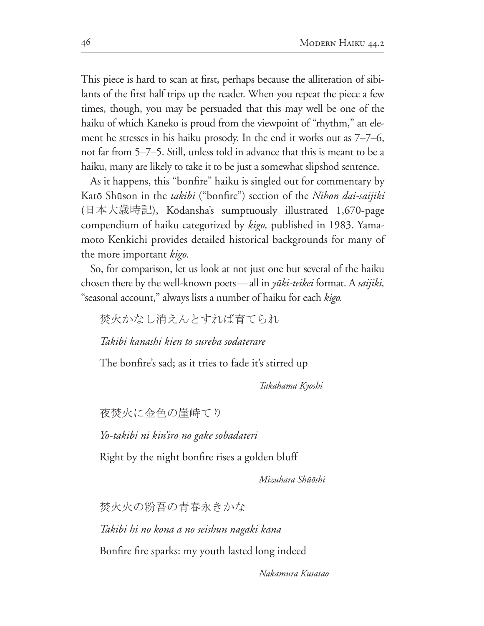This piece is hard to scan at first, perhaps because the alliteration of sibi lants of the first half trips up the reader. When you repeat the piece a few times, though, you may be persuaded that this may well be one of the haiku of which Kaneko is proud from the viewpoint of "rhythm," an element he stresses in his haiku prosody. In the end it works out as  $7-7-6$ , not far from 5–7–5. Still, unless told in advance that this is meant to be a haiku, many are likely to take it to be just a somewhat slipshod sentence.

As it happens, this "bonfire" haiku is singled out for commentary by Katō Shūson in the *takibi* ("bonfire") section of the Nihon dai-saijiki (日本大歳時記), Kōdansha's sumptuously illustrated 1,670-page compendium of haiku categorized by *kigo*, published in 1983. Yamamoto Kenkichi provides detailed historical backgrounds for many of the more important *kigo.*

So, for comparison, let us look at not just one but several of the haiku chosen there by the well-known poets—all in *yūki-teikei* format. A *saijiki*, "seasonal account," always lists a number of haiku for each *kigo.*

焚火かなし消えんとすれば育てられ

*Takibi kanashi kien to sureba sodaterare*

The bonfire's sad; as it tries to fade it's stirred up

*Takahama Kyoshi*

夜焚火に金色の崖峙てり

*Yo-takibi ni kin'iro no gake sobadateri*

Right by the night bonfire rises a golden bluff

*Mizuhara Sh*ûô*shi*

焚火火の粉吾の青春永きかな

*Takibi hi no kona a no seishun nagaki kana*

Bonfire fire sparks: my youth lasted long indeed

*Nakamura Kusatao*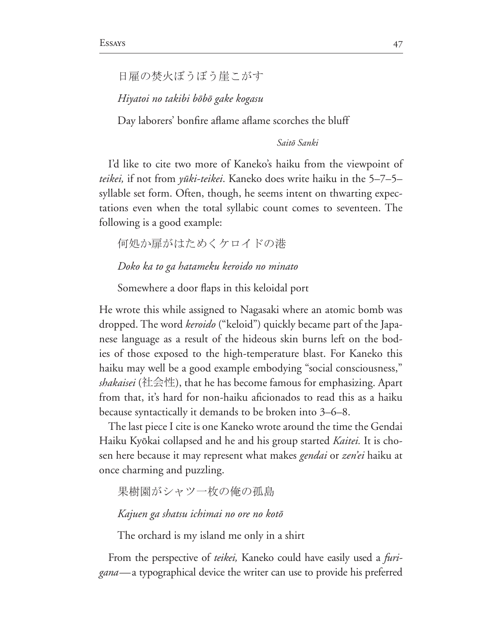```
日雇の焚火ぼうぼう崖こがす
```
Hiyatoi no takibi bōbō gake kogasu

Day laborers' bonfire aflame aflame scorches the bluff

Saitō Sanki

I'd like to cite two more of Kaneko's haiku from the viewpoint of teikei, if not from yūki-teikei. Kaneko does write haiku in the 5–7–5– syllable set form. Often, though, he seems intent on thwarting expectations even when the total syllabic count comes to seventeen. The following is a good example:

何処か扉がはためくケロイドの港

Doko ka to ga hatameku keroido no minato

Somewhere a door flaps in this keloidal port

He wrote this while assigned to Nagasaki where an atomic bomb was dropped. The word keroido ("keloid") quickly became part of the Japanese language as a result of the hideous skin burns left on the bodies of those exposed to the high-temperature blast. For Kaneko this haiku may well be a good example embodying "social consciousness," *shakaisei* (社会性), that he has become famous for emphasizing. Apart from that, it's hard for non-haiku aficionados to read this as a haiku because syntactically it demands to be broken into  $3-6-8$ .

The last piece I cite is one Kaneko wrote around the time the Gendai Haiku Kyōkai collapsed and he and his group started *Kaitei*. It is chosen here because it may represent what makes *gendai* or *zen'ei* haiku at once charming and puzzling.

果樹園がシャツ一枚の俺の孤島

Kajuen ga shatsu ichimai no ore no kotō

The orchard is my island me only in a shirt

From the perspective of teikei, Kaneko could have easily used a furi*gana*—a typographical device the writer can use to provide his preferred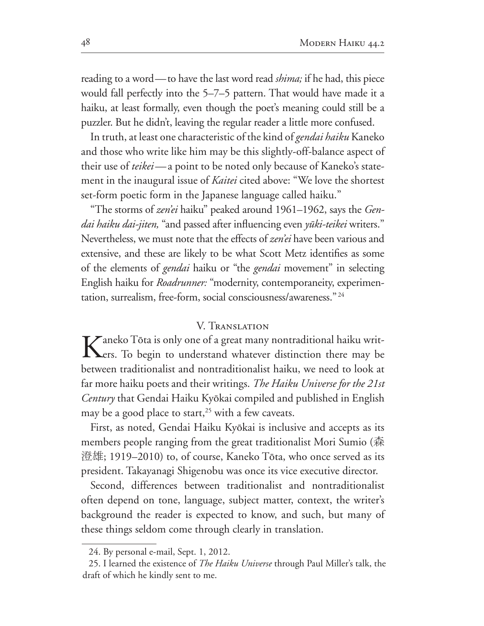reading to a word—to have the last word read *shima;* if he had, this piece would fall perfectly into the  $5-7-5$  pattern. That would have made it a haiku, at least formally, even though the poet's meaning could still be a puzzler. But he didn't, leaving the regular reader a little more confused.

In truth, at least one characteristic of the kind of *gendai haiku* Kaneko and those who write like him may be this slightly-off-balance aspect of their use of *teikei*—a point to be noted only because of Kaneko's state ment in the inaugural issue of *Kaitei* cited above: "We love the shortest set-form poetic form in the Japanese language called haiku."

"The storms of *zen'ei* haiku" peaked around 1961–1962, says the *Gendai haiku dai-jiten*, "and passed after influencing even yūki-teikei writers." Nevertheless, we must note that the effects of *zen'ei* have been various and extensive, and these are likely to be what Scott Metz identifies as some of the elements of *gendai* haiku or "the *gendai* movement" in selecting English haiku for *Roadrunner:* "modernity, contemporaneity, experimen  $tation$ , surrealism, free-form, social consciousness/awareness."  $24$ 

## V. Translation

Kaneko Tōta is only one of a great many nontraditional haiku writ-<br>Ers. To begin to understand whatever distinction there may be between traditionalist and nontraditionalist haiku, we need to look at far more haiku poets and their writings. *The Haiku Universe for the 21st Century* that Gendai Haiku Kyôkai compiled and published in English may be a good place to start,<sup>25</sup> with a few caveats.

First, as noted, Gendai Haiku Kyôkai is inclusive and accepts as its members people ranging from the great traditionalist Mori Sumio ( $\frac{4}{\sqrt{13}}$ ) 澄雄; 1919–2010) to, of course, Kaneko Tōta, who once served as its president. Takayanagi Shigenobu was once its vice executive director.

Second, differences between traditionalist and nontraditionalist often depend on tone, language, subject matter, context, the writer's background the reader is expected to know, and such, but many of these things seldom come through clearly in translation.

<sup>24.</sup> By personal e-mail, Sept. 1, 2012.

<sup>25.</sup> I learned the existence of *The Haiku Universe* through Paul Miller's talk, the draft of which he kindly sent to me.